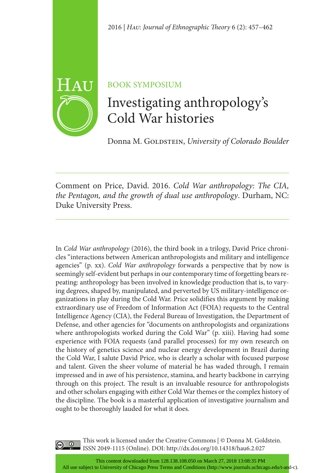

# BOOK SYMPOSIUM

# Investigating anthropology's Cold War histories

Donna M. GOLDSTEIN, University of Colorado Boulder

Comment on Price, David. 2016. *Cold War anthropology: The CIA, the Pentagon, and the growth of dual use anthropology*. Durham, NC: Duke University Press.

In *Cold War anthropology* (2016), the third book in a trilogy, David Price chronicles "interactions between American anthropologists and military and intelligence agencies" (p. xx). *Cold War anthropology* forwards a perspective that by now is seemingly self-evident but perhaps in our contemporary time of forgetting bears repeating: anthropology has been involved in knowledge production that is, to varying degrees, shaped by, manipulated, and perverted by US military-intelligence organizations in play during the Cold War. Price solidifies this argument by making extraordinary use of Freedom of Information Act (FOIA) requests to the Central Intelligence Agency (CIA), the Federal Bureau of Investigation, the Department of Defense, and other agencies for "documents on anthropologists and organizations where anthropologists worked during the Cold War" (p. xiii). Having had some experience with FOIA requests (and parallel processes) for my own research on the history of genetics science and nuclear energy development in Brazil during the Cold War, I salute David Price, who is clearly a scholar with focused purpose and talent. Given the sheer volume of material he has waded through, I remain impressed and in awe of his persistence, stamina, and hearty backbone in carrying through on this project. The result is an invaluable resource for anthropologists and other scholars engaging with either Cold War themes or the complex history of the discipline. The book is a masterful application of investigative journalism and ought to be thoroughly lauded for what it does.



This work is licensed under the Creative Commons | © Donna M. Goldstein. ISSN 2049-1115 (Online). DOI: [http://dx.doi.org/1](http://dx.doi.org/10.14318/hau6.2.027)0.14318/hau6.2.027

This content downloaded from 128.138.108.050 on March 27, 2018 13:08:35 PM All use subject to University of Chicago Press Terms and Conditions (http://www.journals.uchicago.edu/t-and-c).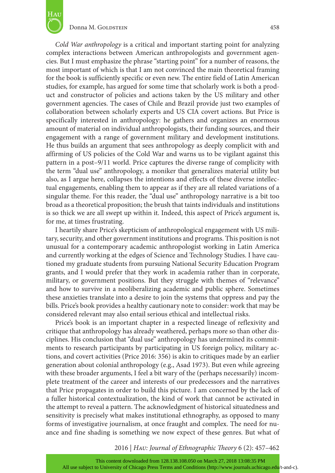

#### Donna M. Goldstein 458

*Cold War anthropology* is a critical and important starting point for analyzing complex interactions between American anthropologists and government agencies. But I must emphasize the phrase "starting point" for a number of reasons, the most important of which is that I am not convinced the main theoretical framing for the book is sufficiently specific or even new. The entire field of Latin American studies, for example, has argued for some time that scholarly work is both a product and constructor of policies and actions taken by the US military and other government agencies. The cases of Chile and Brazil provide just two examples of collaboration between scholarly experts and US CIA covert actions. But Price is specifically interested in anthropology: he gathers and organizes an enormous amount of material on individual anthropologists, their funding sources, and their engagement with a range of government military and development institutions. He thus builds an argument that sees anthropology as deeply complicit with and affirming of US policies of the Cold War and warns us to be vigilant against this pattern in a post–9/11 world. Price captures the diverse range of complicity with the term "dual use" anthropology, a moniker that generalizes material utility but also, as I argue here, collapses the intentions and effects of these diverse intellectual engagements, enabling them to appear as if they are all related variations of a singular theme. For this reader, the "dual use" anthropology narrative is a bit too broad as a theoretical proposition; the brush that taints individuals and institutions is so thick we are all swept up within it. Indeed, this aspect of Price's argument is, for me, at times frustrating.

I heartily share Price's skepticism of anthropological engagement with US military, security, and other government institutions and programs. This position is not unusual for a contemporary academic anthropologist working in Latin America and currently working at the edges of Science and Technology Studies. I have cautioned my graduate students from pursuing National Security Education Program grants, and I would prefer that they work in academia rather than in corporate, military, or government positions. But they struggle with themes of "relevance" and how to survive in a neoliberalizing academic and public sphere. Sometimes these anxieties translate into a desire to join the systems that oppress and pay the bills. Price's book provides a healthy cautionary note to consider: work that may be considered relevant may also entail serious ethical and intellectual risks.

Price's book is an important chapter in a respected lineage of reflexivity and critique that anthropology has already weathered, perhaps more so than other disciplines. His conclusion that "dual use" anthropology has undermined its commitments to research participants by participating in US foreign policy, military actions, and covert activities (Price 2016: 356) is akin to critiques made by an earlier generation about colonial anthropology (e.g., Asad 1973). But even while agreeing with these broader arguments, I feel a bit wary of the (perhaps necessarily) incomplete treatment of the career and interests of our predecessors and the narratives that Price propagates in order to build this picture. I am concerned by the lack of a fuller historical contextualization, the kind of work that cannot be activated in the attempt to reveal a pattern. The acknowledgment of historical situatedness and sensitivity is precisely what makes institutional ethnography, as opposed to many forms of investigative journalism, at once fraught and complex. The need for nuance and fine shading is something we now expect of these genres. But what of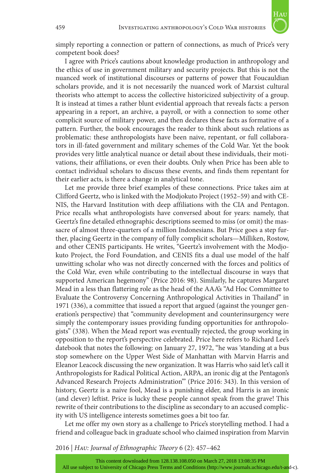

simply reporting a connection or pattern of connections, as much of Price's very competent book does?

I agree with Price's cautions about knowledge production in anthropology and the ethics of use in government military and security projects. But this is not the nuanced work of institutional discourses or patterns of power that Foucauldian scholars provide, and it is not necessarily the nuanced work of Marxist cultural theorists who attempt to access the collective historicized subjectivity of a group. It is instead at times a rather blunt evidential approach that reveals facts: a person appearing in a report, an archive, a payroll, or with a connection to some other complicit source of military power, and then declares these facts as formative of a pattern. Further, the book encourages the reader to think about such relations as problematic: these anthropologists have been naive, repentant, or full collaborators in ill-fated government and military schemes of the Cold War. Yet the book provides very little analytical nuance or detail about these individuals, their motivations, their affiliations, or even their doubts. Only when Price has been able to contact individual scholars to discuss these events, and finds them repentant for their earlier acts, is there a change in analytical tone.

Let me provide three brief examples of these connections. Price takes aim at Clifford Geertz, who is linked with the Modjokuto Project (1952–59) and with CE-NIS, the Harvard Institution with deep affiliations with the CIA and Pentagon. Price recalls what anthropologists have conversed about for years: namely, that Geertz's fine detailed ethnographic descriptions seemed to miss (or omit) the massacre of almost three-quarters of a million Indonesians. But Price goes a step further, placing Geertz in the company of fully complicit scholars—Milliken, Rostow, and other CENIS participants. He writes, "Geertz's involvement with the Modjokuto Project, the Ford Foundation, and CENIS fits a dual use model of the half unwitting scholar who was not directly concerned with the forces and politics of the Cold War, even while contributing to the intellectual discourse in ways that supported American hegemony" (Price 2016: 98). Similarly, he captures Margaret Mead in a less than flattering role as the head of the AAA's "Ad Hoc Committee to Evaluate the Controversy Concerning Anthropological Activities in Thailand" in 1971 (336), a committee that issued a report that argued (against the younger generation's perspective) that "community development and counterinsurgency were simply the contemporary issues providing funding opportunities for anthropologists" (338). When the Mead report was eventually rejected, the group working in opposition to the report's perspective celebrated. Price here refers to Richard Lee's datebook that notes the following: on January 27, 1972, "he was 'standing at a bus stop somewhere on the Upper West Side of Manhattan with Marvin Harris and Eleanor Leacock discussing the new organization. It was Harris who said let's call it Anthropologists for Radical Political Action, ARPA, an ironic dig at the Pentagon's Advanced Research Projects Administration'" (Price 2016: 343). In this version of history, Geertz is a naive fool, Mead is a punishing elder, and Harris is an ironic (and clever) leftist. Price is lucky these people cannot speak from the grave! This rewrite of their contributions to the discipline as secondary to an accused complicity with US intelligence interests sometimes goes a bit too far.

Let me offer my own story as a challenge to Price's storytelling method. I had a friend and colleague back in graduate school who claimed inspiration from Marvin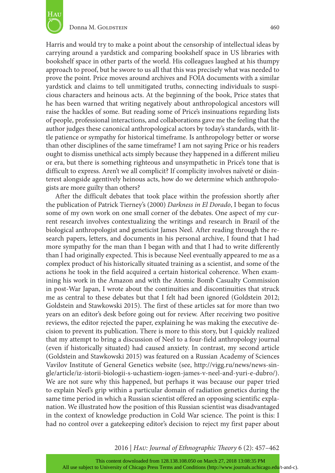

Harris and would try to make a point about the censorship of intellectual ideas by carrying around a yardstick and comparing bookshelf space in US libraries with bookshelf space in other parts of the world. His colleagues laughed at his thumpy approach to proof, but he swore to us all that this was precisely what was needed to prove the point. Price moves around archives and FOIA documents with a similar yardstick and claims to tell unmitigated truths, connecting individuals to suspicious characters and heinous acts. At the beginning of the book, Price states that he has been warned that writing negatively about anthropological ancestors will raise the hackles of some. But reading some of Price's insinuations regarding lists of people, professional interactions, and collaborations gave me the feeling that the

author judges these canonical anthropological actors by today's standards, with little patience or sympathy for historical timeframe. Is anthropology better or worse than other disciplines of the same timeframe? I am not saying Price or his readers ought to dismiss unethical acts simply because they happened in a different milieu or era, but there is something righteous and unsympathetic in Price's tone that is difficult to express. Aren't we all complicit? If complicity involves naïveté or disinterest alongside agentively heinous acts, how do we determine which anthropologists are more guilty than others?

After the difficult debates that took place within the profession shortly after the publication of Patrick Tierney's (2000) *Darkness in El Dorado*, I began to focus some of my own work on one small corner of the debates. One aspect of my current research involves contextualizing the writings and research in Brazil of the biological anthropologist and geneticist James Neel. After reading through the research papers, letters, and documents in his personal archive, I found that I had more sympathy for the man than I began with and that I had to write differently than I had originally expected. This is because Neel eventually appeared to me as a complex product of his historically situated training as a scientist, and some of the actions he took in the field acquired a certain historical coherence. When examining his work in the Amazon and with the Atomic Bomb Casualty Commission in post-War Japan, I wrote about the continuities and discontinuities that struck me as central to these debates but that I felt had been ignored (Goldstein 2012; Goldstein and Stawkowski 2015). The first of these articles sat for more than two years on an editor's desk before going out for review. After receiving two positive reviews, the editor rejected the paper, explaining he was making the executive decision to prevent its publication. There is more to this story, but I quickly realized that my attempt to bring a discussion of Neel to a four-field anthropology journal (even if historically situated) had caused anxiety. In contrast, my second article (Goldstein and Stawkowski 2015) was featured on a Russian Academy of Sciences Vavilov Institute of General Genetics website (see, [http://vigg.ru/news/news-sin](http://vigg.ru/news/news-single/article/iz-istorii-biologii-s-uchastiem-iogen-james-v-neel-and-yuri-e-dubro/)[gle/article/iz-istorii-biologii-s-uchastiem-iogen-james-v-neel-and-yuri-e-dubro/](http://vigg.ru/news/news-single/article/iz-istorii-biologii-s-uchastiem-iogen-james-v-neel-and-yuri-e-dubro/)). We are not sure why this happened, but perhaps it was because our paper tried to explain Neel's grip within a particular domain of radiation genetics during the same time period in which a Russian scientist offered an opposing scientific explanation. We illustrated how the position of this Russian scientist was disadvantaged in the context of knowledge production in Cold War science. The point is this: I had no control over a gatekeeping editor's decision to reject my first paper about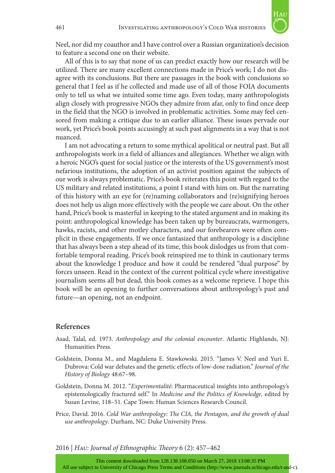

Neel, nor did my coauthor and I have control over a Russian organization's decision to feature a second one on their website.

All of this is to say that none of us can predict exactly how our research will be utilized. There are many excellent connections made in Price's work; I do not disagree with its conclusions. But there are passages in the book with conclusions so general that I feel as if he collected and made use of all of those FOIA documents only to tell us what we intuited some time ago. Even today, many anthropologists align closely with progressive NGOs they admire from afar, only to find once deep in the field that the NGO is involved in problematic activities. Some may feel censored from making a critique due to an earlier alliance. These issues pervade our work, yet Price's book points accusingly at such past alignments in a way that is not nuanced.

I am not advocating a return to some mythical apolitical or neutral past. But all anthropologists work in a field of alliances and allegiances. Whether we align with a heroic NGO's quest for social justice or the interests of the US government's most nefarious institutions, the adoption of an activist position against the subjects of our work is always problematic. Price's book reiterates this point with regard to the US military and related institutions, a point I stand with him on. But the narrating of this history with an eye for (re)naming collaborators and (re)signifying heroes does not help us align more effectively with the people we care about. On the other hand, Price's book is masterful in keeping to the stated argument and in making its point: anthropological knowledge has been taken up by bureaucrats, warmongers, hawks, racists, and other motley characters, and our forebearers were often complicit in these engagements. If we once fantasized that anthropology is a discipline that has always been a step ahead of its time, this book dislodges us from that comfortable temporal reading. Price's book reinspired me to think in cautionary terms about the knowledge I produce and how it could be rendered "dual purpose" by forces unseen. Read in the context of the current political cycle where investigative journalism seems all but dead, this book comes as a welcome reprieve. I hope this book will be an opening to further conversations about anthropology's past and future—an opening, not an endpoint.

## **References**

- Asad, Talal, ed. 1973. *Anthropology and the colonial encounter*. Atlantic Highlands, NJ: Humanities Press.
- Goldstein, Donna M., and Magdalena E. Stawkowski. 2015. "James V. Neel and Yuri E. Dubrova: Cold war debates and the genetic effects of low-dose radiation." *Journal of the History of Biology* 48:67–98.
- Goldstein, Donna M. 2012. "*Experimentalité*: Pharmaceutical insights into anthropology's epistemologically fractured self." In *Medicine and the Politics of Knowledge*, edited by Susan Levine, 118–51. Cape Town: Human Sciences Research Council.
- Price, David. 2016. *Cold War anthropology: The CIA, the Pentagon, and the growth of dual use anthropology*. Durham, NC: Duke University Press.